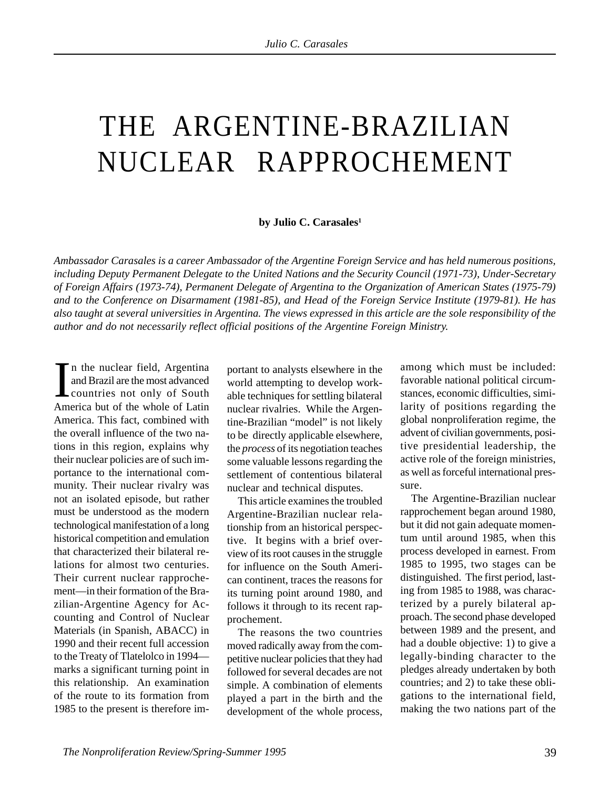# THE ARGENTINE-BRAZILIAN NUCLEAR RAPPROCHEMENT

#### **by Julio C. Carasales1**

*Ambassador Carasales is a career Ambassador of the Argentine Foreign Service and has held numerous positions, including Deputy Permanent Delegate to the United Nations and the Security Council (1971-73), Under-Secretary of Foreign Affairs (1973-74), Permanent Delegate of Argentina to the Organization of American States (1975-79) and to the Conference on Disarmament (1981-85), and Head of the Foreign Service Institute (1979-81). He has also taught at several universities in Argentina. The views expressed in this article are the sole responsibility of the author and do not necessarily reflect official positions of the Argentine Foreign Ministry.*

In the nuclear field, Argentina<br>
and Brazil are the most advanced<br>
countries not only of South<br>
America but of the whole of Latin n the nuclear field, Argentina and Brazil are the most advanced countries not only of South America. This fact, combined with the overall influence of the two nations in this region, explains why their nuclear policies are of such importance to the international community. Their nuclear rivalry was not an isolated episode, but rather must be understood as the modern technological manifestation of a long historical competition and emulation that characterized their bilateral relations for almost two centuries. Their current nuclear rapprochement—in their formation of the Brazilian-Argentine Agency for Accounting and Control of Nuclear Materials (in Spanish, ABACC) in 1990 and their recent full accession to the Treaty of Tlatelolco in 1994 marks a significant turning point in this relationship. An examination of the route to its formation from 1985 to the present is therefore im-

portant to analysts elsewhere in the world attempting to develop workable techniques for settling bilateral nuclear rivalries. While the Argentine-Brazilian "model" is not likely to be directly applicable elsewhere, the *process* of its negotiation teaches some valuable lessons regarding the settlement of contentious bilateral nuclear and technical disputes.

This article examines the troubled Argentine-Brazilian nuclear relationship from an historical perspective. It begins with a brief overview of its root causes in the struggle for influence on the South American continent, traces the reasons for its turning point around 1980, and follows it through to its recent rapprochement.

The reasons the two countries moved radically away from the competitive nuclear policies that they had followed for several decades are not simple. A combination of elements played a part in the birth and the development of the whole process, among which must be included: favorable national political circumstances, economic difficulties, similarity of positions regarding the global nonproliferation regime, the advent of civilian governments, positive presidential leadership, the active role of the foreign ministries, as well as forceful international pressure.

The Argentine-Brazilian nuclear rapprochement began around 1980, but it did not gain adequate momentum until around 1985, when this process developed in earnest. From 1985 to 1995, two stages can be distinguished. The first period, lasting from 1985 to 1988, was characterized by a purely bilateral approach. The second phase developed between 1989 and the present, and had a double objective: 1) to give a legally-binding character to the pledges already undertaken by both countries; and 2) to take these obligations to the international field, making the two nations part of the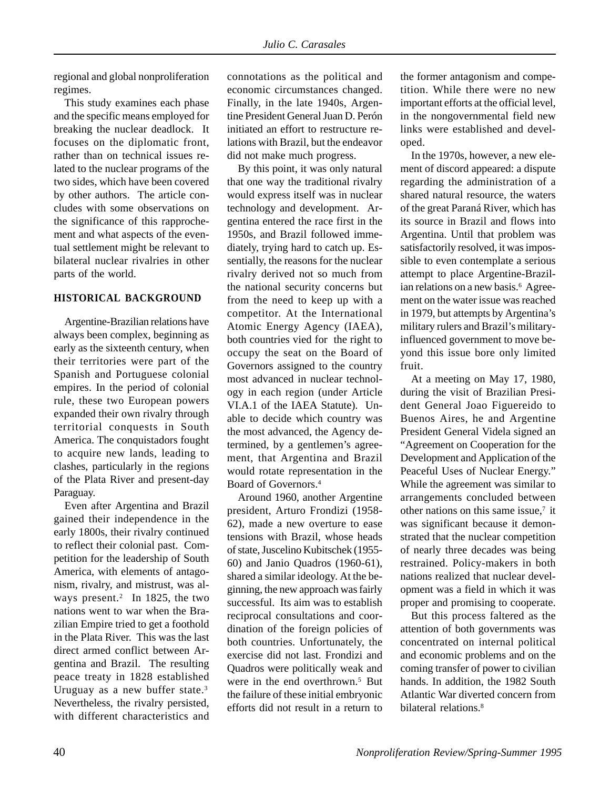regional and global nonproliferation regimes.

This study examines each phase and the specific means employed for breaking the nuclear deadlock. It focuses on the diplomatic front, rather than on technical issues related to the nuclear programs of the two sides, which have been covered by other authors. The article concludes with some observations on the significance of this rapprochement and what aspects of the eventual settlement might be relevant to bilateral nuclear rivalries in other parts of the world.

#### **HISTORICAL BACKGROUND**

Argentine-Brazilian relations have always been complex, beginning as early as the sixteenth century, when their territories were part of the Spanish and Portuguese colonial empires. In the period of colonial rule, these two European powers expanded their own rivalry through territorial conquests in South America. The conquistadors fought to acquire new lands, leading to clashes, particularly in the regions of the Plata River and present-day Paraguay.

Even after Argentina and Brazil gained their independence in the early 1800s, their rivalry continued to reflect their colonial past. Competition for the leadership of South America, with elements of antagonism, rivalry, and mistrust, was always present.<sup>2</sup> In 1825, the two nations went to war when the Brazilian Empire tried to get a foothold in the Plata River. This was the last direct armed conflict between Argentina and Brazil. The resulting peace treaty in 1828 established Uruguay as a new buffer state.<sup>3</sup> Nevertheless, the rivalry persisted, with different characteristics and

connotations as the political and economic circumstances changed. Finally, in the late 1940s, Argentine President General Juan D. Perón initiated an effort to restructure relations with Brazil, but the endeavor did not make much progress.

By this point, it was only natural that one way the traditional rivalry would express itself was in nuclear technology and development. Argentina entered the race first in the 1950s, and Brazil followed immediately, trying hard to catch up. Essentially, the reasons for the nuclear rivalry derived not so much from the national security concerns but from the need to keep up with a competitor. At the International Atomic Energy Agency (IAEA), both countries vied for the right to occupy the seat on the Board of Governors assigned to the country most advanced in nuclear technology in each region (under Article VI.A.1 of the IAEA Statute). Unable to decide which country was the most advanced, the Agency determined, by a gentlemen's agreement, that Argentina and Brazil would rotate representation in the Board of Governors<sup>4</sup>

Around 1960, another Argentine president, Arturo Frondizi (1958- 62), made a new overture to ease tensions with Brazil, whose heads of state, Juscelino Kubitschek (1955- 60) and Janio Quadros (1960-61), shared a similar ideology. At the beginning, the new approach was fairly successful. Its aim was to establish reciprocal consultations and coordination of the foreign policies of both countries. Unfortunately, the exercise did not last. Frondizi and Quadros were politically weak and were in the end overthrown.<sup>5</sup> But the failure of these initial embryonic efforts did not result in a return to the former antagonism and competition. While there were no new important efforts at the official level, in the nongovernmental field new links were established and developed.

In the 1970s, however, a new element of discord appeared: a dispute regarding the administration of a shared natural resource, the waters of the great Paraná River, which has its source in Brazil and flows into Argentina. Until that problem was satisfactorily resolved, it was impossible to even contemplate a serious attempt to place Argentine-Brazilian relations on a new basis.<sup>6</sup> Agreement on the water issue was reached in 1979, but attempts by Argentina's military rulers and Brazil's militaryinfluenced government to move beyond this issue bore only limited fruit.

At a meeting on May 17, 1980, during the visit of Brazilian President General Joao Figuereido to Buenos Aires, he and Argentine President General Videla signed an "Agreement on Cooperation for the Development and Application of the Peaceful Uses of Nuclear Energy." While the agreement was similar to arrangements concluded between other nations on this same issue, $<sup>7</sup>$  it</sup> was significant because it demonstrated that the nuclear competition of nearly three decades was being restrained. Policy-makers in both nations realized that nuclear development was a field in which it was proper and promising to cooperate.

But this process faltered as the attention of both governments was concentrated on internal political and economic problems and on the coming transfer of power to civilian hands. In addition, the 1982 South Atlantic War diverted concern from bilateral relations.<sup>8</sup>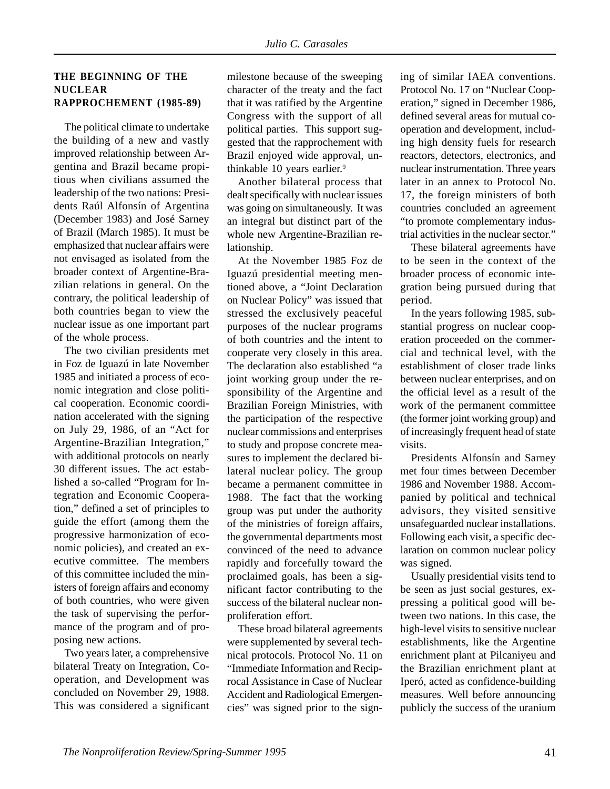## **THE BEGINNING OF THE NUCLEAR RAPPROCHEMENT (1985-89)**

The political climate to undertake the building of a new and vastly improved relationship between Argentina and Brazil became propitious when civilians assumed the leadership of the two nations: Presidents Raúl Alfonsín of Argentina (December 1983) and José Sarney of Brazil (March 1985). It must be emphasized that nuclear affairs were not envisaged as isolated from the broader context of Argentine-Brazilian relations in general. On the contrary, the political leadership of both countries began to view the nuclear issue as one important part of the whole process.

The two civilian presidents met in Foz de Iguazú in late November 1985 and initiated a process of economic integration and close political cooperation. Economic coordination accelerated with the signing on July 29, 1986, of an "Act for Argentine-Brazilian Integration," with additional protocols on nearly 30 different issues. The act established a so-called "Program for Integration and Economic Cooperation," defined a set of principles to guide the effort (among them the progressive harmonization of economic policies), and created an executive committee. The members of this committee included the ministers of foreign affairs and economy of both countries, who were given the task of supervising the performance of the program and of proposing new actions.

Two years later, a comprehensive bilateral Treaty on Integration, Cooperation, and Development was concluded on November 29, 1988. This was considered a significant milestone because of the sweeping character of the treaty and the fact that it was ratified by the Argentine Congress with the support of all political parties. This support suggested that the rapprochement with Brazil enjoyed wide approval, unthinkable 10 years earlier.<sup>9</sup>

Another bilateral process that dealt specifically with nuclear issues was going on simultaneously. It was an integral but distinct part of the whole new Argentine-Brazilian relationship.

At the November 1985 Foz de Iguazú presidential meeting mentioned above, a "Joint Declaration on Nuclear Policy" was issued that stressed the exclusively peaceful purposes of the nuclear programs of both countries and the intent to cooperate very closely in this area. The declaration also established "a joint working group under the responsibility of the Argentine and Brazilian Foreign Ministries, with the participation of the respective nuclear commissions and enterprises to study and propose concrete measures to implement the declared bilateral nuclear policy. The group became a permanent committee in 1988. The fact that the working group was put under the authority of the ministries of foreign affairs, the governmental departments most convinced of the need to advance rapidly and forcefully toward the proclaimed goals, has been a significant factor contributing to the success of the bilateral nuclear nonproliferation effort.

These broad bilateral agreements were supplemented by several technical protocols. Protocol No. 11 on "Immediate Information and Reciprocal Assistance in Case of Nuclear Accident and Radiological Emergencies" was signed prior to the signing of similar IAEA conventions. Protocol No. 17 on "Nuclear Cooperation," signed in December 1986, defined several areas for mutual cooperation and development, including high density fuels for research reactors, detectors, electronics, and nuclear instrumentation. Three years later in an annex to Protocol No. 17, the foreign ministers of both countries concluded an agreement "to promote complementary industrial activities in the nuclear sector."

These bilateral agreements have to be seen in the context of the broader process of economic integration being pursued during that period.

In the years following 1985, substantial progress on nuclear cooperation proceeded on the commercial and technical level, with the establishment of closer trade links between nuclear enterprises, and on the official level as a result of the work of the permanent committee (the former joint working group) and of increasingly frequent head of state visits.

Presidents Alfonsín and Sarney met four times between December 1986 and November 1988. Accompanied by political and technical advisors, they visited sensitive unsafeguarded nuclear installations. Following each visit, a specific declaration on common nuclear policy was signed.

Usually presidential visits tend to be seen as just social gestures, expressing a political good will between two nations. In this case, the high-level visits to sensitive nuclear establishments, like the Argentine enrichment plant at Pilcaniyeu and the Brazilian enrichment plant at Iperó, acted as confidence-building measures. Well before announcing publicly the success of the uranium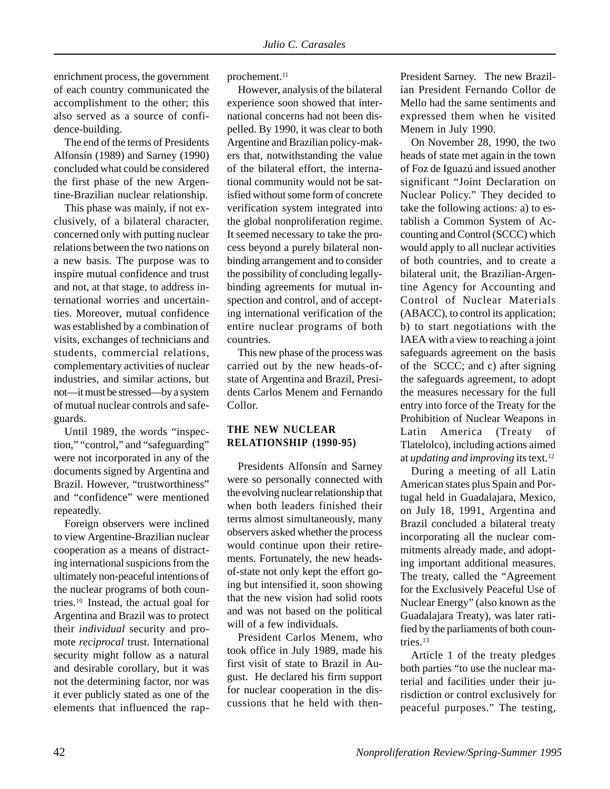enrichment process, the government of each country communicated the accomplishment to the other; this also served as a source of confidence-building.

The end of the terms of Presidents Alfonsín (1989) and Sarney (1990) concluded what could be considered the first phase of the new Argentine-Brazilian nuclear relationship.

This phase was mainly, if not exclusively, of a bilateral character, concerned only with putting nuclear relations between the two nations on a new basis. The purpose was to inspire mutual confidence and trust and not, at that stage, to address international worries and uncertainties. Moreover, mutual confidence was established by a combination of visits, exchanges of technicians and students, commercial relations, complementary activities of nuclear industries, and similar actions, but not—it must be stressed—by a system of mutual nuclear controls and safeguards.

Until 1989, the words "inspection," "control," and "safeguarding" were not incorporated in any of the documents signed by Argentina and Brazil. However, "trustworthiness" and "confidence" were mentioned repeatedly.

Foreign observers were inclined to view Argentine-Brazilian nuclear cooperation as a means of distracting international suspicions from the ultimately non-peaceful intentions of the nuclear programs of both countries.10 Instead, the actual goal for Argentina and Brazil was to protect their *individual* security and promote *reciprocal* trust. International security might follow as a natural and desirable corollary, but it was not the determining factor, nor was it ever publicly stated as one of the elements that influenced the rapprochement.<sup>11</sup>

However, analysis of the bilateral experience soon showed that international concerns had not been dispelled. By 1990, it was clear to both Argentine and Brazilian policy-makers that, notwithstanding the value of the bilateral effort, the international community would not be satisfied without some form of concrete verification system integrated into the global nonproliferation regime. It seemed necessary to take the process beyond a purely bilateral nonbinding arrangement and to consider the possibility of concluding legallybinding agreements for mutual inspection and control, and of accepting international verification of the entire nuclear programs of both countries.

This new phase of the process was carried out by the new heads-ofstate of Argentina and Brazil, Presidents Carlos Menem and Fernando Collor.

### **THE NEW NUCLEAR RELATIONSHIP (1990-95)**

Presidents Alfonsín and Sarney were so personally connected with the evolving nuclear relationship that when both leaders finished their terms almost simultaneously, many observers asked whether the process would continue upon their retirements. Fortunately, the new headsof-state not only kept the effort going but intensified it, soon showing that the new vision had solid roots and was not based on the political will of a few individuals.

President Carlos Menem, who took office in July 1989, made his first visit of state to Brazil in August. He declared his firm support for nuclear cooperation in the discussions that he held with thenPresident Sarney. The new Brazilian President Fernando Collor de Mello had the same sentiments and expressed them when he visited Menem in July 1990.

On November 28, 1990, the two heads of state met again in the town of Foz de Iguazú and issued another significant "Joint Declaration on Nuclear Policy." They decided to take the following actions: a) to establish a Common System of Accounting and Control (SCCC) which would apply to all nuclear activities of both countries, and to create a bilateral unit, the Brazilian-Argentine Agency for Accounting and Control of Nuclear Materials (ABACC), to control its application; b) to start negotiations with the IAEA with a view to reaching a joint safeguards agreement on the basis of the SCCC; and c) after signing the safeguards agreement, to adopt the measures necessary for the full entry into force of the Treaty for the Prohibition of Nuclear Weapons in Latin America (Treaty of Tlatelolco), including actions aimed at *updating and improving* its text.12

During a meeting of all Latin American states plus Spain and Portugal held in Guadalajara, Mexico, on July 18, 1991, Argentina and Brazil concluded a bilateral treaty incorporating all the nuclear commitments already made, and adopting important additional measures. The treaty, called the "Agreement for the Exclusively Peaceful Use of Nuclear Energy" (also known as the Guadalajara Treaty), was later ratified by the parliaments of both countries. $13$ 

Article 1 of the treaty pledges both parties "to use the nuclear material and facilities under their jurisdiction or control exclusively for peaceful purposes." The testing,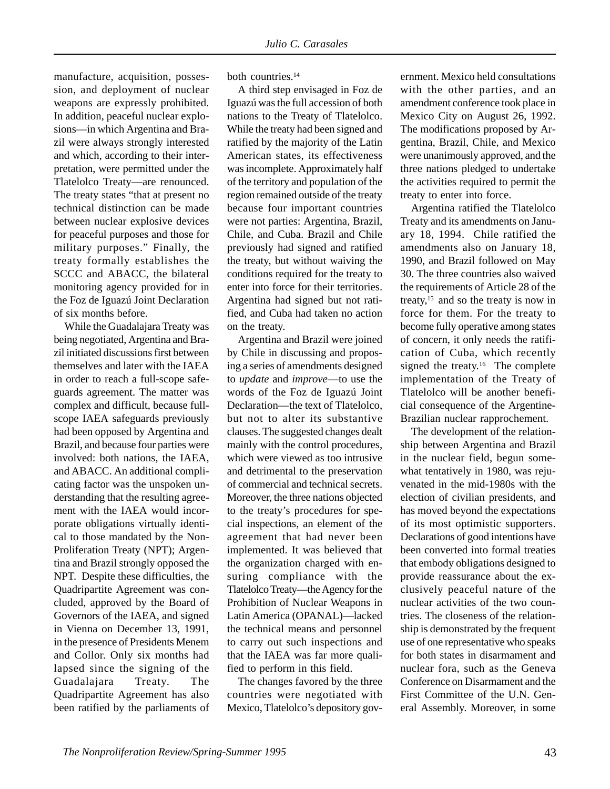manufacture, acquisition, possession, and deployment of nuclear weapons are expressly prohibited. In addition, peaceful nuclear explosions—in which Argentina and Brazil were always strongly interested and which, according to their interpretation, were permitted under the Tlatelolco Treaty—are renounced. The treaty states "that at present no technical distinction can be made between nuclear explosive devices for peaceful purposes and those for military purposes." Finally, the treaty formally establishes the SCCC and ABACC, the bilateral monitoring agency provided for in the Foz de Iguazú Joint Declaration of six months before.

While the Guadalajara Treaty was being negotiated, Argentina and Brazil initiated discussions first between themselves and later with the IAEA in order to reach a full-scope safeguards agreement. The matter was complex and difficult, because fullscope IAEA safeguards previously had been opposed by Argentina and Brazil, and because four parties were involved: both nations, the IAEA, and ABACC. An additional complicating factor was the unspoken understanding that the resulting agreement with the IAEA would incorporate obligations virtually identical to those mandated by the Non-Proliferation Treaty (NPT); Argentina and Brazil strongly opposed the NPT. Despite these difficulties, the Quadripartite Agreement was concluded, approved by the Board of Governors of the IAEA, and signed in Vienna on December 13, 1991, in the presence of Presidents Menem and Collor. Only six months had lapsed since the signing of the Guadalajara Treaty. The Quadripartite Agreement has also been ratified by the parliaments of both countries.<sup>14</sup>

A third step envisaged in Foz de Iguazú was the full accession of both nations to the Treaty of Tlatelolco. While the treaty had been signed and ratified by the majority of the Latin American states, its effectiveness was incomplete. Approximately half of the territory and population of the region remained outside of the treaty because four important countries were not parties: Argentina, Brazil, Chile, and Cuba. Brazil and Chile previously had signed and ratified the treaty, but without waiving the conditions required for the treaty to enter into force for their territories. Argentina had signed but not ratified, and Cuba had taken no action on the treaty.

Argentina and Brazil were joined by Chile in discussing and proposing a series of amendments designed to *update* and *improve*—to use the words of the Foz de Iguazú Joint Declaration—the text of Tlatelolco, but not to alter its substantive clauses. The suggested changes dealt mainly with the control procedures, which were viewed as too intrusive and detrimental to the preservation of commercial and technical secrets. Moreover, the three nations objected to the treaty's procedures for special inspections, an element of the agreement that had never been implemented. It was believed that the organization charged with ensuring compliance with the Tlatelolco Treaty—the Agency for the Prohibition of Nuclear Weapons in Latin America (OPANAL)—lacked the technical means and personnel to carry out such inspections and that the IAEA was far more qualified to perform in this field.

The changes favored by the three countries were negotiated with Mexico, Tlatelolco's depository government. Mexico held consultations with the other parties, and an amendment conference took place in Mexico City on August 26, 1992. The modifications proposed by Argentina, Brazil, Chile, and Mexico were unanimously approved, and the three nations pledged to undertake the activities required to permit the treaty to enter into force.

Argentina ratified the Tlatelolco Treaty and its amendments on January 18, 1994. Chile ratified the amendments also on January 18, 1990, and Brazil followed on May 30. The three countries also waived the requirements of Article 28 of the treaty, $15$  and so the treaty is now in force for them. For the treaty to become fully operative among states of concern, it only needs the ratification of Cuba, which recently signed the treaty.<sup>16</sup> The complete implementation of the Treaty of Tlatelolco will be another beneficial consequence of the Argentine-Brazilian nuclear rapprochement.

The development of the relationship between Argentina and Brazil in the nuclear field, begun somewhat tentatively in 1980, was rejuvenated in the mid-1980s with the election of civilian presidents, and has moved beyond the expectations of its most optimistic supporters. Declarations of good intentions have been converted into formal treaties that embody obligations designed to provide reassurance about the exclusively peaceful nature of the nuclear activities of the two countries. The closeness of the relationship is demonstrated by the frequent use of one representative who speaks for both states in disarmament and nuclear fora, such as the Geneva Conference on Disarmament and the First Committee of the U.N. General Assembly. Moreover, in some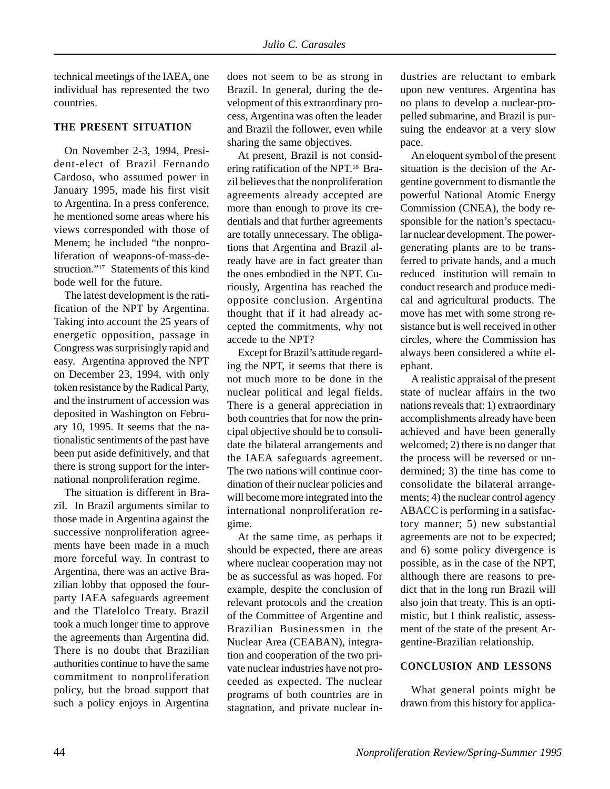technical meetings of the IAEA, one individual has represented the two countries.

#### **THE PRESENT SITUATION**

On November 2-3, 1994, President-elect of Brazil Fernando Cardoso, who assumed power in January 1995, made his first visit to Argentina. In a press conference, he mentioned some areas where his views corresponded with those of Menem; he included "the nonproliferation of weapons-of-mass-destruction."<sup>17</sup> Statements of this kind bode well for the future.

The latest development is the ratification of the NPT by Argentina. Taking into account the 25 years of energetic opposition, passage in Congress was surprisingly rapid and easy. Argentina approved the NPT on December 23, 1994, with only token resistance by the Radical Party, and the instrument of accession was deposited in Washington on February 10, 1995. It seems that the nationalistic sentiments of the past have been put aside definitively, and that there is strong support for the international nonproliferation regime.

The situation is different in Brazil. In Brazil arguments similar to those made in Argentina against the successive nonproliferation agreements have been made in a much more forceful way. In contrast to Argentina, there was an active Brazilian lobby that opposed the fourparty IAEA safeguards agreement and the Tlatelolco Treaty. Brazil took a much longer time to approve the agreements than Argentina did. There is no doubt that Brazilian authorities continue to have the same commitment to nonproliferation policy, but the broad support that such a policy enjoys in Argentina does not seem to be as strong in Brazil. In general, during the development of this extraordinary process, Argentina was often the leader and Brazil the follower, even while sharing the same objectives.

At present, Brazil is not considering ratification of the NPT.18 Brazil believes that the nonproliferation agreements already accepted are more than enough to prove its credentials and that further agreements are totally unnecessary. The obligations that Argentina and Brazil already have are in fact greater than the ones embodied in the NPT. Curiously, Argentina has reached the opposite conclusion. Argentina thought that if it had already accepted the commitments, why not accede to the NPT?

Except for Brazil's attitude regarding the NPT, it seems that there is not much more to be done in the nuclear political and legal fields. There is a general appreciation in both countries that for now the principal objective should be to consolidate the bilateral arrangements and the IAEA safeguards agreement. The two nations will continue coordination of their nuclear policies and will become more integrated into the international nonproliferation regime.

At the same time, as perhaps it should be expected, there are areas where nuclear cooperation may not be as successful as was hoped. For example, despite the conclusion of relevant protocols and the creation of the Committee of Argentine and Brazilian Businessmen in the Nuclear Area (CEABAN), integration and cooperation of the two private nuclear industries have not proceeded as expected. The nuclear programs of both countries are in stagnation, and private nuclear in-

dustries are reluctant to embark upon new ventures. Argentina has no plans to develop a nuclear-propelled submarine, and Brazil is pursuing the endeavor at a very slow pace.

An eloquent symbol of the present situation is the decision of the Argentine government to dismantle the powerful National Atomic Energy Commission (CNEA), the body responsible for the nation's spectacular nuclear development. The powergenerating plants are to be transferred to private hands, and a much reduced institution will remain to conduct research and produce medical and agricultural products. The move has met with some strong resistance but is well received in other circles, where the Commission has always been considered a white elephant.

A realistic appraisal of the present state of nuclear affairs in the two nations reveals that: 1) extraordinary accomplishments already have been achieved and have been generally welcomed; 2) there is no danger that the process will be reversed or undermined; 3) the time has come to consolidate the bilateral arrangements; 4) the nuclear control agency ABACC is performing in a satisfactory manner; 5) new substantial agreements are not to be expected; and 6) some policy divergence is possible, as in the case of the NPT, although there are reasons to predict that in the long run Brazil will also join that treaty. This is an optimistic, but I think realistic, assessment of the state of the present Argentine-Brazilian relationship.

# **CONCLUSION AND LESSONS**

What general points might be drawn from this history for applica-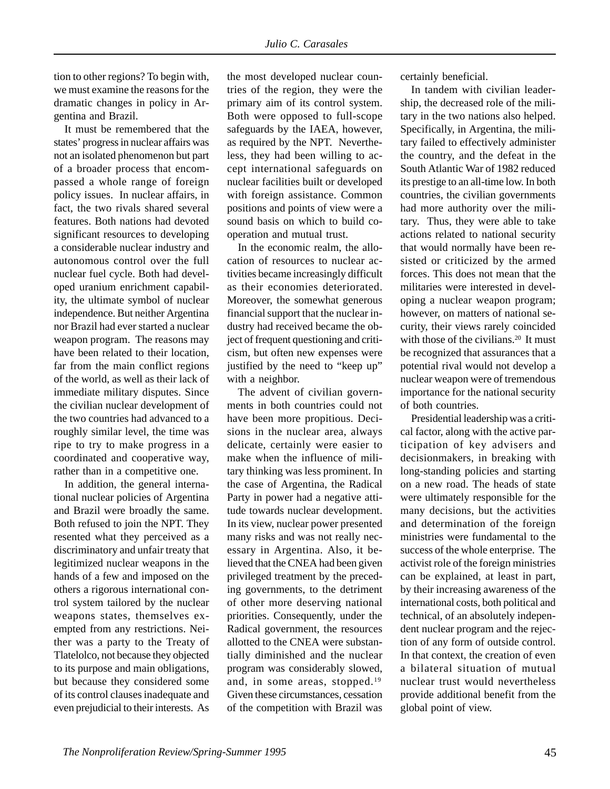tion to other regions? To begin with, we must examine the reasons for the dramatic changes in policy in Argentina and Brazil.

It must be remembered that the states' progress in nuclear affairs was not an isolated phenomenon but part of a broader process that encompassed a whole range of foreign policy issues. In nuclear affairs, in fact, the two rivals shared several features. Both nations had devoted significant resources to developing a considerable nuclear industry and autonomous control over the full nuclear fuel cycle. Both had developed uranium enrichment capability, the ultimate symbol of nuclear independence. But neither Argentina nor Brazil had ever started a nuclear weapon program. The reasons may have been related to their location, far from the main conflict regions of the world, as well as their lack of immediate military disputes. Since the civilian nuclear development of the two countries had advanced to a roughly similar level, the time was ripe to try to make progress in a coordinated and cooperative way, rather than in a competitive one.

In addition, the general international nuclear policies of Argentina and Brazil were broadly the same. Both refused to join the NPT. They resented what they perceived as a discriminatory and unfair treaty that legitimized nuclear weapons in the hands of a few and imposed on the others a rigorous international control system tailored by the nuclear weapons states, themselves exempted from any restrictions. Neither was a party to the Treaty of Tlatelolco, not because they objected to its purpose and main obligations, but because they considered some of its control clauses inadequate and even prejudicial to their interests. As

the most developed nuclear countries of the region, they were the primary aim of its control system. Both were opposed to full-scope safeguards by the IAEA, however, as required by the NPT. Nevertheless, they had been willing to accept international safeguards on nuclear facilities built or developed with foreign assistance. Common positions and points of view were a sound basis on which to build cooperation and mutual trust.

In the economic realm, the allocation of resources to nuclear activities became increasingly difficult as their economies deteriorated. Moreover, the somewhat generous financial support that the nuclear industry had received became the object of frequent questioning and criticism, but often new expenses were justified by the need to "keep up" with a neighbor.

The advent of civilian governments in both countries could not have been more propitious. Decisions in the nuclear area, always delicate, certainly were easier to make when the influence of military thinking was less prominent. In the case of Argentina, the Radical Party in power had a negative attitude towards nuclear development. In its view, nuclear power presented many risks and was not really necessary in Argentina. Also, it believed that the CNEA had been given privileged treatment by the preceding governments, to the detriment of other more deserving national priorities. Consequently, under the Radical government, the resources allotted to the CNEA were substantially diminished and the nuclear program was considerably slowed, and, in some areas, stopped.<sup>19</sup> Given these circumstances, cessation of the competition with Brazil was

certainly beneficial.

In tandem with civilian leadership, the decreased role of the military in the two nations also helped. Specifically, in Argentina, the military failed to effectively administer the country, and the defeat in the South Atlantic War of 1982 reduced its prestige to an all-time low. In both countries, the civilian governments had more authority over the military. Thus, they were able to take actions related to national security that would normally have been resisted or criticized by the armed forces. This does not mean that the militaries were interested in developing a nuclear weapon program; however, on matters of national security, their views rarely coincided with those of the civilians.<sup>20</sup> It must be recognized that assurances that a potential rival would not develop a nuclear weapon were of tremendous importance for the national security of both countries.

Presidential leadership was a critical factor, along with the active participation of key advisers and decisionmakers, in breaking with long-standing policies and starting on a new road. The heads of state were ultimately responsible for the many decisions, but the activities and determination of the foreign ministries were fundamental to the success of the whole enterprise. The activist role of the foreign ministries can be explained, at least in part, by their increasing awareness of the international costs, both political and technical, of an absolutely independent nuclear program and the rejection of any form of outside control. In that context, the creation of even a bilateral situation of mutual nuclear trust would nevertheless provide additional benefit from the global point of view.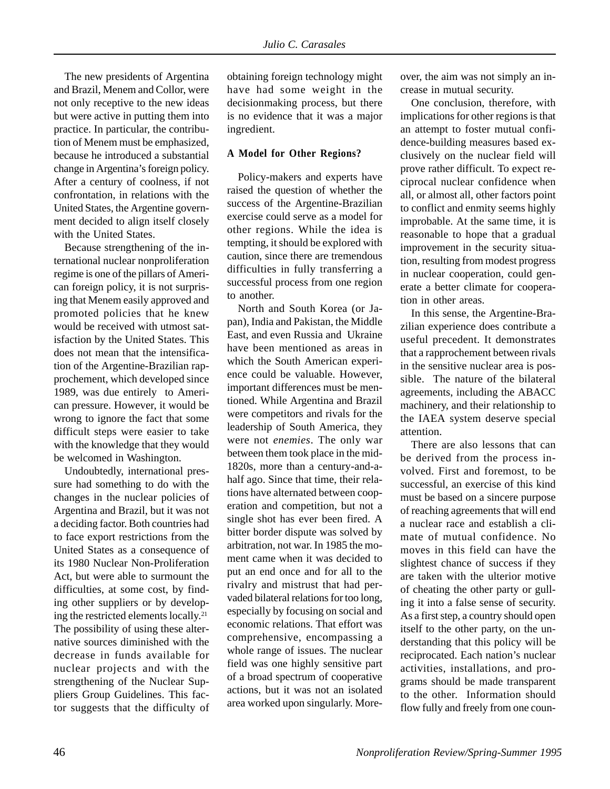The new presidents of Argentina and Brazil, Menem and Collor, were not only receptive to the new ideas but were active in putting them into practice. In particular, the contribution of Menem must be emphasized, because he introduced a substantial change in Argentina's foreign policy. After a century of coolness, if not confrontation, in relations with the United States, the Argentine government decided to align itself closely with the United States.

Because strengthening of the international nuclear nonproliferation regime is one of the pillars of American foreign policy, it is not surprising that Menem easily approved and promoted policies that he knew would be received with utmost satisfaction by the United States. This does not mean that the intensification of the Argentine-Brazilian rapprochement, which developed since 1989, was due entirely to American pressure. However, it would be wrong to ignore the fact that some difficult steps were easier to take with the knowledge that they would be welcomed in Washington.

Undoubtedly, international pressure had something to do with the changes in the nuclear policies of Argentina and Brazil, but it was not a deciding factor. Both countries had to face export restrictions from the United States as a consequence of its 1980 Nuclear Non-Proliferation Act, but were able to surmount the difficulties, at some cost, by finding other suppliers or by developing the restricted elements locally.21 The possibility of using these alternative sources diminished with the decrease in funds available for nuclear projects and with the strengthening of the Nuclear Suppliers Group Guidelines. This factor suggests that the difficulty of obtaining foreign technology might have had some weight in the decisionmaking process, but there is no evidence that it was a major ingredient.

# **A Model for Other Regions?**

Policy-makers and experts have raised the question of whether the success of the Argentine-Brazilian exercise could serve as a model for other regions. While the idea is tempting, it should be explored with caution, since there are tremendous difficulties in fully transferring a successful process from one region to another.

North and South Korea (or Japan), India and Pakistan, the Middle East, and even Russia and Ukraine have been mentioned as areas in which the South American experience could be valuable. However, important differences must be mentioned. While Argentina and Brazil were competitors and rivals for the leadership of South America, they were not *enemies*. The only war between them took place in the mid-1820s, more than a century-and-ahalf ago. Since that time, their relations have alternated between cooperation and competition, but not a single shot has ever been fired. A bitter border dispute was solved by arbitration, not war. In 1985 the moment came when it was decided to put an end once and for all to the rivalry and mistrust that had pervaded bilateral relations for too long, especially by focusing on social and economic relations. That effort was comprehensive, encompassing a whole range of issues. The nuclear field was one highly sensitive part of a broad spectrum of cooperative actions, but it was not an isolated area worked upon singularly. Moreover, the aim was not simply an increase in mutual security.

One conclusion, therefore, with implications for other regions is that an attempt to foster mutual confidence-building measures based exclusively on the nuclear field will prove rather difficult. To expect reciprocal nuclear confidence when all, or almost all, other factors point to conflict and enmity seems highly improbable. At the same time, it is reasonable to hope that a gradual improvement in the security situation, resulting from modest progress in nuclear cooperation, could generate a better climate for cooperation in other areas.

In this sense, the Argentine-Brazilian experience does contribute a useful precedent. It demonstrates that a rapprochement between rivals in the sensitive nuclear area is possible. The nature of the bilateral agreements, including the ABACC machinery, and their relationship to the IAEA system deserve special attention.

There are also lessons that can be derived from the process involved. First and foremost, to be successful, an exercise of this kind must be based on a sincere purpose of reaching agreements that will end a nuclear race and establish a climate of mutual confidence. No moves in this field can have the slightest chance of success if they are taken with the ulterior motive of cheating the other party or gulling it into a false sense of security. As a first step, a country should open itself to the other party, on the understanding that this policy will be reciprocated. Each nation's nuclear activities, installations, and programs should be made transparent to the other. Information should flow fully and freely from one coun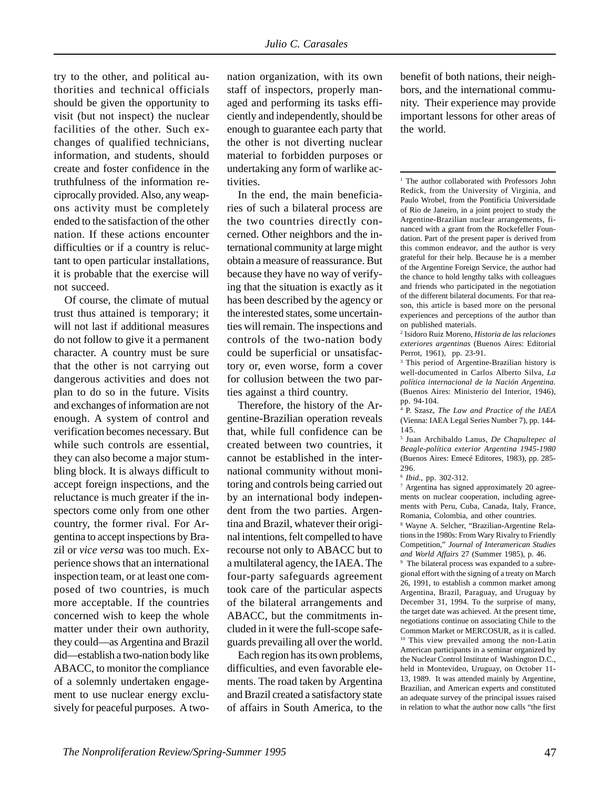try to the other, and political authorities and technical officials should be given the opportunity to visit (but not inspect) the nuclear facilities of the other. Such exchanges of qualified technicians, information, and students, should create and foster confidence in the truthfulness of the information reciprocally provided. Also, any weapons activity must be completely ended to the satisfaction of the other nation. If these actions encounter difficulties or if a country is reluctant to open particular installations, it is probable that the exercise will not succeed.

Of course, the climate of mutual trust thus attained is temporary; it will not last if additional measures do not follow to give it a permanent character. A country must be sure that the other is not carrying out dangerous activities and does not plan to do so in the future. Visits and exchanges of information are not enough. A system of control and verification becomes necessary. But while such controls are essential, they can also become a major stumbling block. It is always difficult to accept foreign inspections, and the reluctance is much greater if the inspectors come only from one other country, the former rival. For Argentina to accept inspections by Brazil or *vice versa* was too much. Experience shows that an international inspection team, or at least one composed of two countries, is much more acceptable. If the countries concerned wish to keep the whole matter under their own authority, they could—as Argentina and Brazil did—establish a two-nation body like ABACC, to monitor the compliance of a solemnly undertaken engagement to use nuclear energy exclusively for peaceful purposes. A twonation organization, with its own staff of inspectors, properly managed and performing its tasks efficiently and independently, should be enough to guarantee each party that the other is not diverting nuclear material to forbidden purposes or undertaking any form of warlike activities.

In the end, the main beneficiaries of such a bilateral process are the two countries directly concerned. Other neighbors and the international community at large might obtain a measure of reassurance. But because they have no way of verifying that the situation is exactly as it has been described by the agency or the interested states, some uncertainties will remain. The inspections and controls of the two-nation body could be superficial or unsatisfactory or, even worse, form a cover for collusion between the two parties against a third country.

Therefore, the history of the Argentine-Brazilian operation reveals that, while full confidence can be created between two countries, it cannot be established in the international community without monitoring and controls being carried out by an international body independent from the two parties. Argentina and Brazil, whatever their original intentions, felt compelled to have recourse not only to ABACC but to a multilateral agency, the IAEA. The four-party safeguards agreement took care of the particular aspects of the bilateral arrangements and ABACC, but the commitments included in it were the full-scope safeguards prevailing all over the world.

Each region has its own problems, difficulties, and even favorable elements. The road taken by Argentina and Brazil created a satisfactory state of affairs in South America, to the benefit of both nations, their neighbors, and the international community. Their experience may provide important lessons for other areas of the world.

<sup>1</sup> The author collaborated with Professors John Redick, from the University of Virginia, and Paulo Wrobel, from the Pontificia Universidade of Rio de Janeiro, in a joint project to study the Argentine-Brazilian nuclear arrangements, financed with a grant from the Rockefeller Foundation. Part of the present paper is derived from this common endeavor, and the author is very grateful for their help. Because he is a member of the Argentine Foreign Service, the author had the chance to hold lengthy talks with colleagues and friends who participated in the negotiation of the different bilateral documents. For that reason, this article is based more on the personal experiences and perceptions of the author than on published materials.

2 Isidoro Ruiz Moreno, *Historia de las relaciones exteriores argentinas* (Buenos Aires: Editorial Perrot, 1961), pp. 23-91.

<sup>3</sup> This period of Argentine-Brazilian history is well-documented in Carlos Alberto Silva, *La política internacional de la Nación Argentina.* (Buenos Aires: Ministerio del Interior, 1946), pp. 94-104.

4 P. Szasz, *The Law and Practice of the IAEA* (Vienna: IAEA Legal Series Number 7), pp. 144- 145.

5 Juan Archibaldo Lanus, *De Chapultepec al Beagle-política exterior Argentina 1945-1980* (Buenos Aires: Emecé Editores, 1983), pp. 285- 296.

6  *Ibid.*, pp. 302-312.

7 Argentina has signed approximately 20 agreements on nuclear cooperation, including agreements with Peru, Cuba, Canada, Italy, France, Romania, Colombia, and other countries.

8 Wayne A. Selcher, "Brazilian-Argentine Relations in the 1980s: From Wary Rivalry to Friendly Competition," *Journal of Interamerican Studies and World Affairs* 27 (Summer 1985), p. 46.

9 The bilateral process was expanded to a subregional effort with the signing of a treaty on March 26, 1991, to establish a common market among Argentina, Brazil, Paraguay, and Uruguay by December 31, 1994. To the surprise of many, the target date was achieved. At the present time, negotiations continue on associating Chile to the Common Market or MERCOSUR, as it is called. 10 This view prevailed among the non-Latin American participants in a seminar organized by the Nuclear Control Institute of Washington D.C., held in Montevideo, Uruguay, on October 11- 13, 1989. It was attended mainly by Argentine, Brazilian, and American experts and constituted an adequate survey of the principal issues raised in relation to what the author now calls "the first